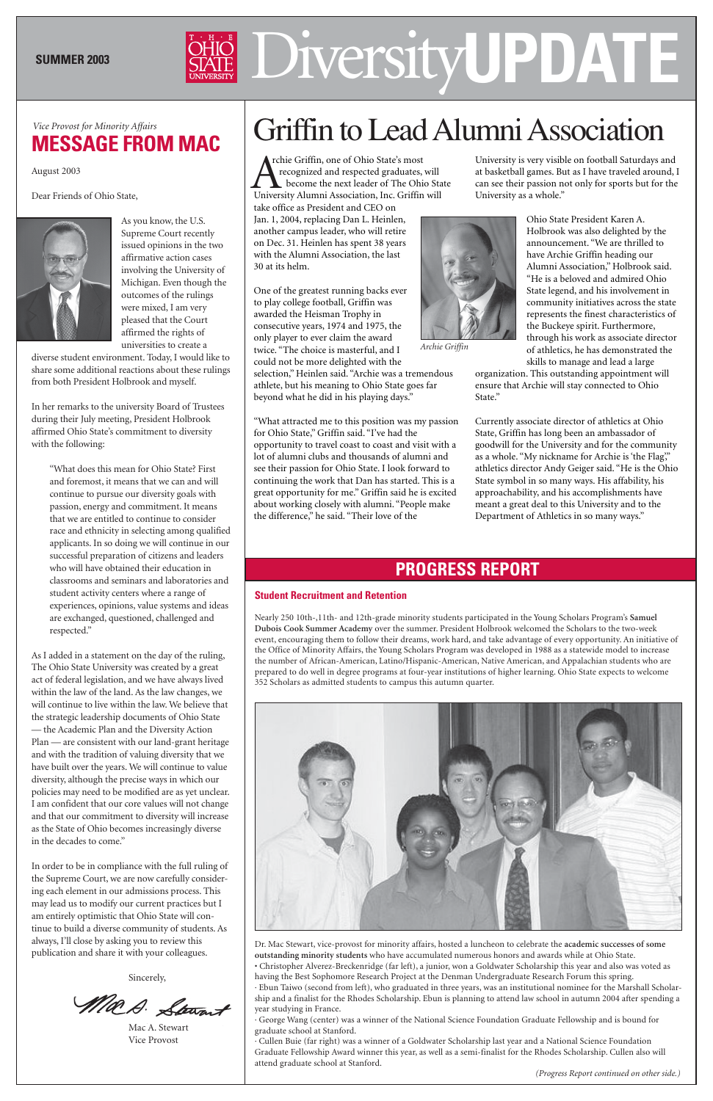# Diversity **SUMMER 2003 UPDATE**

August 2003

Dear Friends of Ohio State,



As you know, the U.S. Supreme Court recently issued opinions in the two affirmative action cases involving the University of Michigan. Even though the outcomes of the rulings were mixed, I am very pleased that the Court affirmed the rights of universities to create a

diverse student environment. Today, I would like to share some additional reactions about these rulings from both President Holbrook and myself.

In her remarks to the university Board of Trustees during their July meeting, President Holbrook affirmed Ohio State's commitment to diversity with the following:

"What does this mean for Ohio State? First and foremost, it means that we can and will continue to pursue our diversity goals with passion, energy and commitment. It means that we are entitled to continue to consider race and ethnicity in selecting among qualified applicants. In so doing we will continue in our successful preparation of citizens and leaders who will have obtained their education in classrooms and seminars and laboratories and student activity centers where a range of experiences, opinions, value systems and ideas are exchanged, questioned, challenged and respected."

 rchie Griffin, one of Ohio State's most recognized and respected graduates, will become the next leader of The Ohio State The Griffin, one of Ohio State's most<br>recognized and respected graduates, will<br>become the next leader of The Ohio Sta<br>University Alumni Association, Inc. Griffin will

As I added in a statement on the day of the ruling, The Ohio State University was created by a great act of federal legislation, and we have always lived within the law of the land. As the law changes, we will continue to live within the law. We believe that the strategic leadership documents of Ohio State — the Academic Plan and the Diversity Action Plan — are consistent with our land-grant heritage and with the tradition of valuing diversity that we have built over the years. We will continue to value diversity, although the precise ways in which our policies may need to be modified are as yet unclear. I am confident that our core values will not change

# Vice Provost for Minority Affairs<br>**MECCACE EDOM MAG** | Griffin to Lead Alumni Association

and that our commitment to diversity will increase as the State of Ohio becomes increasingly diverse in the decades to come."

In order to be in compliance with the full ruling of the Supreme Court, we are now carefully considering each element in our admissions process. This may lead us to modify our current practices but I am entirely optimistic that Ohio State will continue to build a diverse community of students. As always, I'll close by asking you to review this publication and share it with your colleagues.

Sincerely,

Ma.D. Stewart

Mac A. Stewart Vice Provost

# **MESSAGE FROM MAC**

take office as President and CEO on Jan. 1, 2004, replacing Dan L. Heinlen, another campus leader, who will retire on Dec. 31. Heinlen has spent 38 years with the Alumni Association, the last 30 at its helm.

One of the greatest running backs ever to play college football, Griffin was awarded the Heisman Trophy in consecutive years, 1974 and 1975, the only player to ever claim the award twice. "The choice is masterful, and I could not be more delighted with the selection," Heinlen said. "Archie was a tremendous athlete, but his meaning to Ohio State goes far

beyond what he did in his playing days."

"What attracted me to this position was my passion for Ohio State," Griffin said. "I've had the opportunity to travel coast to coast and visit with a lot of alumni clubs and thousands of alumni and see their passion for Ohio State. I look forward to continuing the work that Dan has started. This is a great opportunity for me." Griffin said he is excited about working closely with alumni. "People make the difference," he said. "Their love of the

University is very visible on football Saturdays and at basketball games. But as I have traveled around, I can see their passion not only for sports but for the University as a whole."

> Ohio State President Karen A. Holbrook was also delighted by the announcement. "We are thrilled to have Archie Griffin heading our Alumni Association," Holbrook said. "He is a beloved and admired Ohio State legend, and his involvement in community initiatives across the state represents the finest characteristics of the Buckeye spirit. Furthermore, through his work as associate director of athletics, he has demonstrated the skills to manage and lead a large

organization. This outstanding appointment will ensure that Archie will stay connected to Ohio State."

Currently associate director of athletics at Ohio State, Griffin has long been an ambassador of goodwill for the University and for the community as a whole. "My nickname for Archie is 'the Flag," athletics director Andy Geiger said. "He is the Ohio State symbol in so many ways. His affability, his approachability, and his accomplishments have meant a great deal to this University and to the Department of Athletics in so many ways."

## **Student Recruitment and Retention**

Nearly 250 10th-,11th- and 12th-grade minority students participated in the Young Scholars Program's **Samuel Dubois Cook Summer Academy** over the summer. President Holbrook welcomed the Scholars to the two-week event, encouraging them to follow their dreams, work hard, and take advantage of every opportunity. An initiative of the Office of Minority Affairs, the Young Scholars Program was developed in 1988 as a statewide model to increase the number of African-American, Latino/Hispanic-American, Native American, and Appalachian students who are prepared to do well in degree programs at four-year institutions of higher learning. Ohio State expects to welcome 352 Scholars as admitted students to campus this autumn quarter.



Dr. Mac Stewart, vice-provost for minority affairs, hosted a luncheon to celebrate the **academic successes of some outstanding minority students** who have accumulated numerous honors and awards while at Ohio State. • Christopher Alverez-Breckenridge (far left), a junior, won a Goldwater Scholarship this year and also was voted as having the Best Sophomore Research Project at the Denman Undergraduate Research Forum this spring. · Ebun Taiwo (second from left), who graduated in three years, was an institutional nominee for the Marshall Scholarship and a finalist for the Rhodes Scholarship. Ebun is planning to attend law school in autumn 2004 after spending a year studying in France.

· George Wang (center) was a winner of the National Science Foundation Graduate Fellowship and is bound for graduate school at Stanford.

· Cullen Buie (far right) was a winner of a Goldwater Scholarship last year and a National Science Foundation Graduate Fellowship Award winner this year, as well as a semi-finalist for the Rhodes Scholarship. Cullen also will attend graduate school at Stanford.

*(Progress Report continued on other side.)*



*Archie Griffin*

# **PROGRESS REPORT**